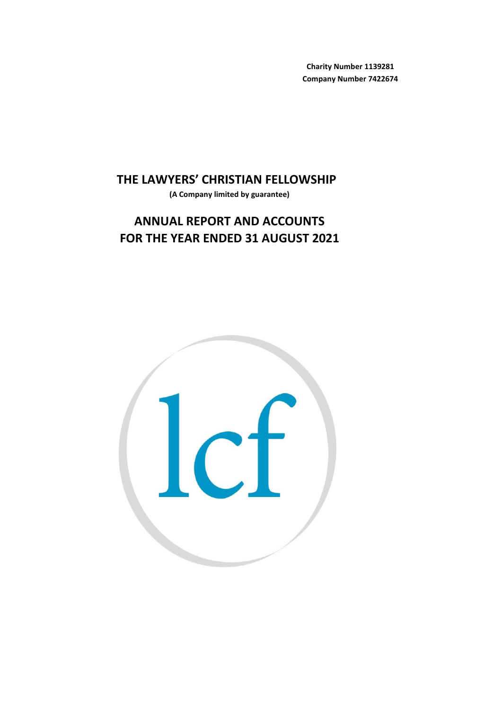**Charity Number 1139281 Company Number 7422674**

**THE LAWYERS' CHRISTIAN FELLOWSHIP** 

**(A Company limited by guarantee)**

# **FOR THE YEAR ENDED 31 AUGUST 2021 ANNUAL REPORT AND ACCOUNTS**

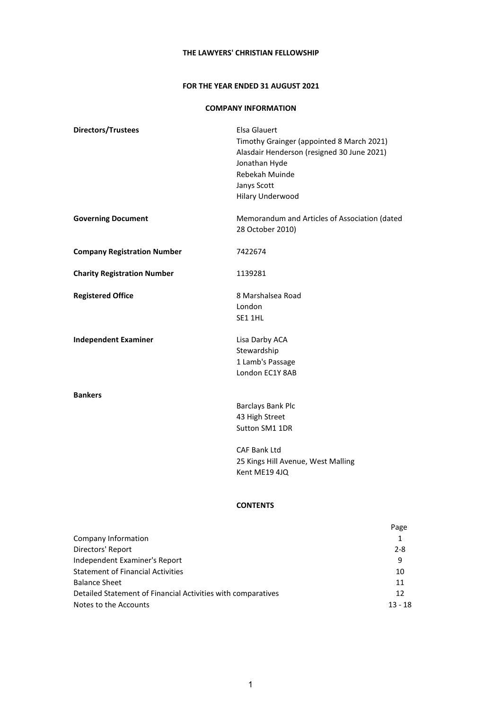# **FOR THE YEAR ENDED 31 AUGUST 2021**

# **COMPANY INFORMATION**

| Directors/Trustees                 | Elsa Glauert                                  |
|------------------------------------|-----------------------------------------------|
|                                    | Timothy Grainger (appointed 8 March 2021)     |
|                                    | Alasdair Henderson (resigned 30 June 2021)    |
|                                    | Jonathan Hyde                                 |
|                                    | Rebekah Muinde                                |
|                                    | Janys Scott                                   |
|                                    | Hilary Underwood                              |
|                                    |                                               |
| <b>Governing Document</b>          | Memorandum and Articles of Association (dated |
|                                    | 28 October 2010)                              |
|                                    |                                               |
| <b>Company Registration Number</b> | 7422674                                       |
|                                    |                                               |
| <b>Charity Registration Number</b> | 1139281                                       |
|                                    |                                               |
| <b>Registered Office</b>           | 8 Marshalsea Road                             |
|                                    | London                                        |
|                                    | SE1 1HL                                       |
|                                    |                                               |
| <b>Independent Examiner</b>        | Lisa Darby ACA                                |
|                                    | Stewardship                                   |
|                                    | 1 Lamb's Passage                              |
|                                    | London EC1Y 8AB                               |
| <b>Bankers</b>                     |                                               |
|                                    | Barclays Bank Plc                             |
|                                    | 43 High Street                                |
|                                    | Sutton SM1 1DR                                |
|                                    | <b>CAF Bank Ltd</b>                           |
|                                    | 25 Kings Hill Avenue, West Malling            |
|                                    |                                               |

# **CONTENTS**

Kent ME19 4JQ

|                                                              | Page      |
|--------------------------------------------------------------|-----------|
| Company Information                                          |           |
| Directors' Report                                            | $2 - 8$   |
| Independent Examiner's Report                                | 9         |
| <b>Statement of Financial Activities</b>                     | 10        |
| <b>Balance Sheet</b>                                         | 11        |
| Detailed Statement of Financial Activities with comparatives | 12        |
| Notes to the Accounts                                        | $13 - 18$ |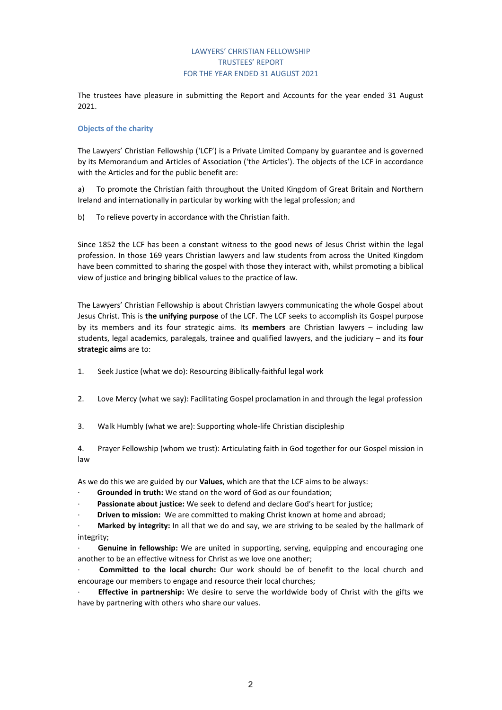# LAWYERS' CHRISTIAN FELLOWSHIP TRUSTEES' REPORT FOR THE YEAR ENDED 31 AUGUST 2021

The trustees have pleasure in submitting the Report and Accounts for the year ended 31 August 2021.

# **Objects of the charity**

The Lawyers' Christian Fellowship ('LCF') is a Private Limited Company by guarantee and is governed by its Memorandum and Articles of Association ('the Articles'). The objects of the LCF in accordance with the Articles and for the public benefit are:

a) To promote the Christian faith throughout the United Kingdom of Great Britain and Northern Ireland and internationally in particular by working with the legal profession; and

b) To relieve poverty in accordance with the Christian faith.

Since 1852 the LCF has been a constant witness to the good news of Jesus Christ within the legal profession. In those 169 years Christian lawyers and law students from across the United Kingdom have been committed to sharing the gospel with those they interact with, whilst promoting a biblical view of justice and bringing biblical values to the practice of law.

The Lawyers' Christian Fellowship is about Christian lawyers communicating the whole Gospel about Jesus Christ. This is **the unifying purpose** of the LCF. The LCF seeks to accomplish its Gospel purpose by its members and its four strategic aims. Its **members** are Christian lawyers – including law students, legal academics, paralegals, trainee and qualified lawyers, and the judiciary – and its **four strategic aims** are to:

1. Seek Justice (what we do): Resourcing Biblically-faithful legal work

- 2. Love Mercy (what we say): Facilitating Gospel proclamation in and through the legal profession
- 3. Walk Humbly (what we are): Supporting whole-life Christian discipleship

4. Prayer Fellowship (whom we trust): Articulating faith in God together for our Gospel mission in law

As we do this we are guided by our **Values**, which are that the LCF aims to be always:

- **Grounded in truth:** We stand on the word of God as our foundation;
- · **Passionate about justice:** We seek to defend and declare God's heart for justice;
- · **Driven to mission:** We are committed to making Christ known at home and abroad;

· **Marked by integrity:** In all that we do and say, we are striving to be sealed by the hallmark of integrity;

· **Genuine in fellowship:** We are united in supporting, serving, equipping and encouraging one another to be an effective witness for Christ as we love one another;

· **Committed to the local church:** Our work should be of benefit to the local church and encourage our members to engage and resource their local churches;

· **Effective in partnership:** We desire to serve the worldwide body of Christ with the gifts we have by partnering with others who share our values.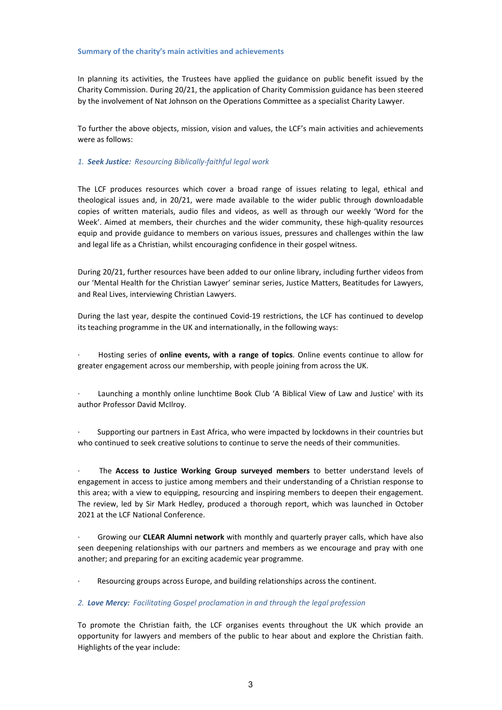# **Summary of the charity's main activities and achievements**

In planning its activities, the Trustees have applied the guidance on public benefit issued by the Charity Commission. During 20/21, the application of Charity Commission guidance has been steered by the involvement of Nat Johnson on the Operations Committee as a specialist Charity Lawyer.

To further the above objects, mission, vision and values, the LCF's main activities and achievements were as follows:

# *1. Seek Justice: Resourcing Biblically-faithful legal work*

The LCF produces resources which cover a broad range of issues relating to legal, ethical and theological issues and, in 20/21, were made available to the wider public through downloadable copies of written materials, audio files and videos, as well as through our weekly 'Word for the Week'. Aimed at members, their churches and the wider community, these high-quality resources equip and provide guidance to members on various issues, pressures and challenges within the law and legal life as a Christian, whilst encouraging confidence in their gospel witness.

During 20/21, further resources have been added to our online library, including further videos from our 'Mental Health for the Christian Lawyer' seminar series, Justice Matters, Beatitudes for Lawyers, and Real Lives, interviewing Christian Lawyers.

During the last year, despite the continued Covid-19 restrictions, the LCF has continued to develop its teaching programme in the UK and internationally, in the following ways:

· Hosting series of **online events, with a range of topics**. Online events continue to allow for greater engagement across our membership, with people joining from across the UK.

Launching a monthly online lunchtime Book Club 'A Biblical View of Law and Justice' with its author Professor David McIlroy.

· Supporting our partners in East Africa, who were impacted by lockdowns in their countries but who continued to seek creative solutions to continue to serve the needs of their communities.

· The **Access to Justice Working Group surveyed members** to better understand levels of engagement in access to justice among members and their understanding of a Christian response to this area; with a view to equipping, resourcing and inspiring members to deepen their engagement. The review, led by Sir Mark Hedley, produced a thorough report, which was launched in October 2021 at the LCF National Conference.

· Growing our **CLEAR Alumni network** with monthly and quarterly prayer calls, which have also seen deepening relationships with our partners and members as we encourage and pray with one another; and preparing for an exciting academic year programme.

Resourcing groups across Europe, and building relationships across the continent.

# *2. Love Mercy: Facilitating Gospel proclamation in and through the legal profession*

To promote the Christian faith, the LCF organises events throughout the UK which provide an opportunity for lawyers and members of the public to hear about and explore the Christian faith. Highlights of the year include: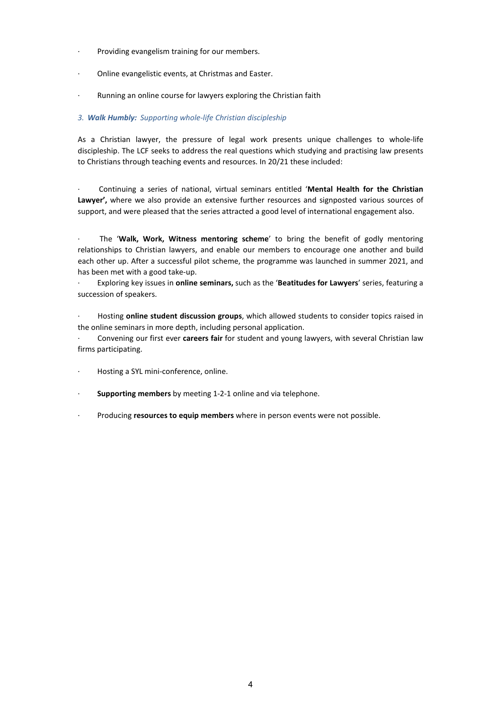- Providing evangelism training for our members.
- Online evangelistic events, at Christmas and Easter.
- · Running an online course for lawyers exploring the Christian faith

# *3. Walk Humbly: Supporting whole-life Christian discipleship*

As a Christian lawyer, the pressure of legal work presents unique challenges to whole-life discipleship. The LCF seeks to address the real questions which studying and practising law presents to Christians through teaching events and resources. In 20/21 these included:

· Continuing a series of national, virtual seminars entitled '**Mental Health for the Christian Lawyer',** where we also provide an extensive further resources and signposted various sources of support, and were pleased that the series attracted a good level of international engagement also.

· The '**Walk, Work, Witness mentoring scheme**' to bring the benefit of godly mentoring relationships to Christian lawyers, and enable our members to encourage one another and build each other up. After a successful pilot scheme, the programme was launched in summer 2021, and has been met with a good take-up.

· Exploring key issues in **online seminars,** such as the '**Beatitudes for Lawyers**' series, featuring a succession of speakers.

· Hosting **online student discussion groups**, which allowed students to consider topics raised in the online seminars in more depth, including personal application.

· Convening our first ever **careers fair** for student and young lawyers, with several Christian law firms participating.

- Hosting a SYL mini-conference, online.
- Supporting members by meeting 1-2-1 online and via telephone.
- · Producing **resources to equip members** where in person events were not possible.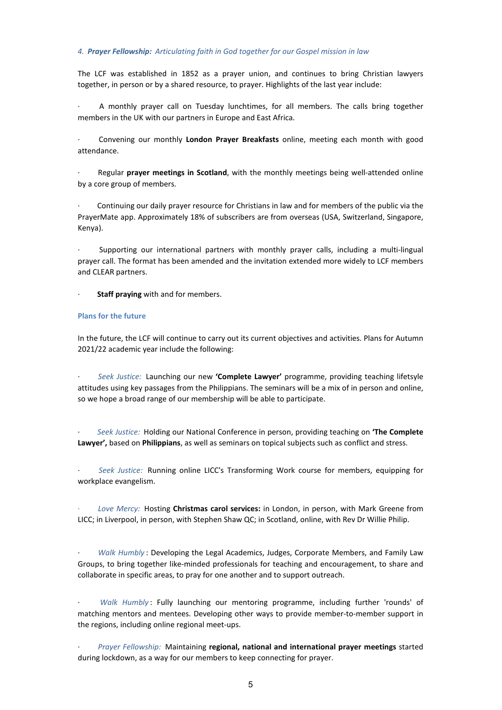# *4. Prayer Fellowship: Articulating faith in God together for our Gospel mission in law*

The LCF was established in 1852 as a prayer union, and continues to bring Christian lawyers together, in person or by a shared resource, to prayer. Highlights of the last year include:

A monthly prayer call on Tuesday lunchtimes, for all members. The calls bring together members in the UK with our partners in Europe and East Africa.

· Convening our monthly **London Prayer Breakfasts** online, meeting each month with good attendance.

· Regular **prayer meetings in Scotland**, with the monthly meetings being well-attended online by a core group of members.

· Continuing our daily prayer resource for Christians in law and for members of the public via the PrayerMate app. Approximately 18% of subscribers are from overseas (USA, Switzerland, Singapore, Kenya).

· Supporting our international partners with monthly prayer calls, including a multi-lingual prayer call. The format has been amended and the invitation extended more widely to LCF members and CLEAR partners.

**Staff praying** with and for members.

# **Plans for the future**

In the future, the LCF will continue to carry out its current objectives and activities. Plans for Autumn 2021/22 academic year include the following:

· *Seek Justice:* Launching our new **'Complete Lawyer'** programme, providing teaching lifetsyle attitudes using key passages from the Philippians. The seminars will be a mix of in person and online, so we hope a broad range of our membership will be able to participate.

· *Seek Justice:* Holding our National Conference in person, providing teaching on **'The Complete Lawyer',** based on **Philippians**, as well as seminars on topical subjects such as conflict and stress.

· *Seek Justice:* Running online LICC's Transforming Work course for members, equipping for workplace evangelism.

· *Love Mercy:* Hosting **Christmas carol services:** in London, in person, with Mark Greene from LICC; in Liverpool, in person, with Stephen Shaw QC; in Scotland, online, with Rev Dr Willie Philip.

· *Walk Humbly* : Developing the Legal Academics, Judges, Corporate Members, and Family Law Groups, to bring together like-minded professionals for teaching and encouragement, to share and collaborate in specific areas, to pray for one another and to support outreach.

· *Walk Humbly* : Fully launching our mentoring programme, including further 'rounds' of matching mentors and mentees. Developing other ways to provide member-to-member support in the regions, including online regional meet-ups.

· *Prayer Fellowship:* Maintaining **regional, national and international prayer meetings** started during lockdown, as a way for our members to keep connecting for prayer.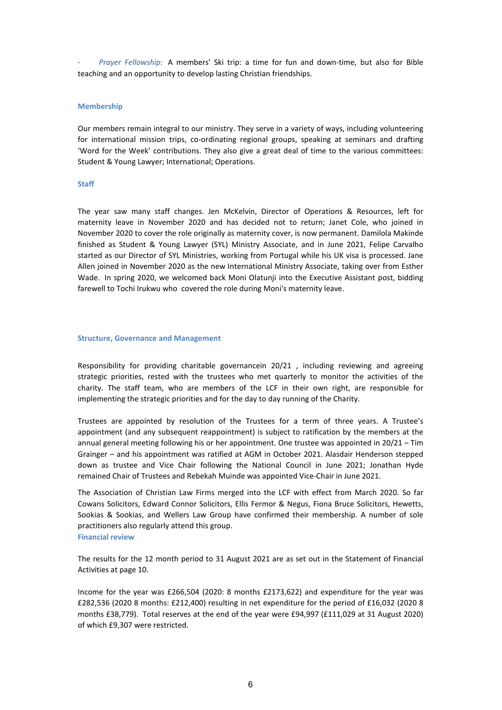· *Prayer Fellowship:* A members' Ski trip: a time for fun and down-time, but also for Bible teaching and an opportunity to develop lasting Christian friendships.

# **Membership**

Our members remain integral to our ministry. They serve in a variety of ways, including volunteering for international mission trips, co-ordinating regional groups, speaking at seminars and drafting 'Word for the Week' contributions. They also give a great deal of time to the various committees: Student & Young Lawyer; International; Operations.

# **Staff**

The year saw many staff changes. Jen McKelvin, Director of Operations & Resources, left for maternity leave in November 2020 and has decided not to return; Janet Cole, who joined in November 2020 to cover the role originally as maternity cover, is now permanent. Damilola Makinde finished as Student & Young Lawyer (SYL) Ministry Associate, and in June 2021, Felipe Carvalho started as our Director of SYL Ministries, working from Portugal while his UK visa is processed. Jane Allen joined in November 2020 as the new International Ministry Associate, taking over from Esther Wade. In spring 2020, we welcomed back Moni Olatunji into the Executive Assistant post, bidding farewell to Tochi Irukwu who covered the role during Moni's maternity leave.

# **Structure, Governance and Management**

Responsibility for providing charitable governancein 20/21 , including reviewing and agreeing strategic priorities, rested with the trustees who met quarterly to monitor the activities of the charity. The staff team, who are members of the LCF in their own right, are responsible for implementing the strategic priorities and for the day to day running of the Charity.

Trustees are appointed by resolution of the Trustees for a term of three years. A Trustee's appointment (and any subsequent reappointment) is subject to ratification by the members at the annual general meeting following his or her appointment. One trustee was appointed in 20/21 – Tim Grainger – and his appointment was ratified at AGM in October 2021. Alasdair Henderson stepped down as trustee and Vice Chair following the National Council in June 2021; Jonathan Hyde remained Chair of Trustees and Rebekah Muinde was appointed Vice-Chair in June 2021.

The Association of Christian Law Firms merged into the LCF with effect from March 2020. So far Cowans Solicitors, Edward Connor Solicitors, Ellis Fermor & Negus, Fiona Bruce Solicitors, Hewetts, Sookias & Sookias, and Wellers Law Group have confirmed their membership. A number of sole practitioners also regularly attend this group.

# **Financial review**

The results for the 12 month period to 31 August 2021 are as set out in the Statement of Financial Activities at page 10.

Income for the year was £266,504 (2020: 8 months £2173,622) and expenditure for the year was £282,536 (2020 8 months: £212,400) resulting in net expenditure for the period of £16,032 (2020 8 months £38,779). Total reserves at the end of the year were £94,997 (£111,029 at 31 August 2020) of which £9,307 were restricted.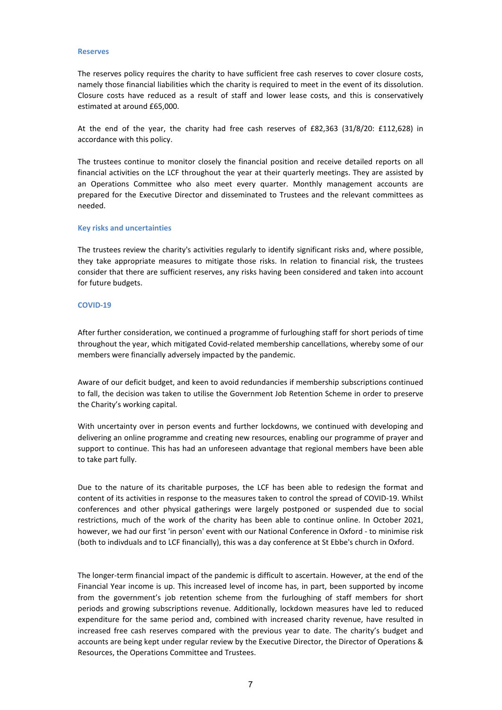### **Reserves**

The reserves policy requires the charity to have sufficient free cash reserves to cover closure costs, namely those financial liabilities which the charity is required to meet in the event of its dissolution. Closure costs have reduced as a result of staff and lower lease costs, and this is conservatively estimated at around £65,000.

At the end of the year, the charity had free cash reserves of £82,363 (31/8/20: £112,628) in accordance with this policy.

The trustees continue to monitor closely the financial position and receive detailed reports on all financial activities on the LCF throughout the year at their quarterly meetings. They are assisted by an Operations Committee who also meet every quarter. Monthly management accounts are prepared for the Executive Director and disseminated to Trustees and the relevant committees as needed.

### **Key risks and uncertainties**

The trustees review the charity's activities regularly to identify significant risks and, where possible, they take appropriate measures to mitigate those risks. In relation to financial risk, the trustees consider that there are sufficient reserves, any risks having been considered and taken into account for future budgets.

### **COVID-19**

After further consideration, we continued a programme of furloughing staff for short periods of time throughout the year, which mitigated Covid-related membership cancellations, whereby some of our members were financially adversely impacted by the pandemic.

Aware of our deficit budget, and keen to avoid redundancies if membership subscriptions continued to fall, the decision was taken to utilise the Government Job Retention Scheme in order to preserve the Charity's working capital.

With uncertainty over in person events and further lockdowns, we continued with developing and delivering an online programme and creating new resources, enabling our programme of prayer and support to continue. This has had an unforeseen advantage that regional members have been able to take part fully.

Due to the nature of its charitable purposes, the LCF has been able to redesign the format and content of its activities in response to the measures taken to control the spread of COVID-19. Whilst conferences and other physical gatherings were largely postponed or suspended due to social restrictions, much of the work of the charity has been able to continue online. In October 2021, however, we had our first 'in person' event with our National Conference in Oxford - to minimise risk (both to indivduals and to LCF financially), this was a day conference at St Ebbe's church in Oxford.

The longer-term financial impact of the pandemic is difficult to ascertain. However, at the end of the Financial Year income is up. This increased level of income has, in part, been supported by income from the government's job retention scheme from the furloughing of staff members for short periods and growing subscriptions revenue. Additionally, lockdown measures have led to reduced expenditure for the same period and, combined with increased charity revenue, have resulted in increased free cash reserves compared with the previous year to date. The charity's budget and accounts are being kept under regular review by the Executive Director, the Director of Operations & Resources, the Operations Committee and Trustees.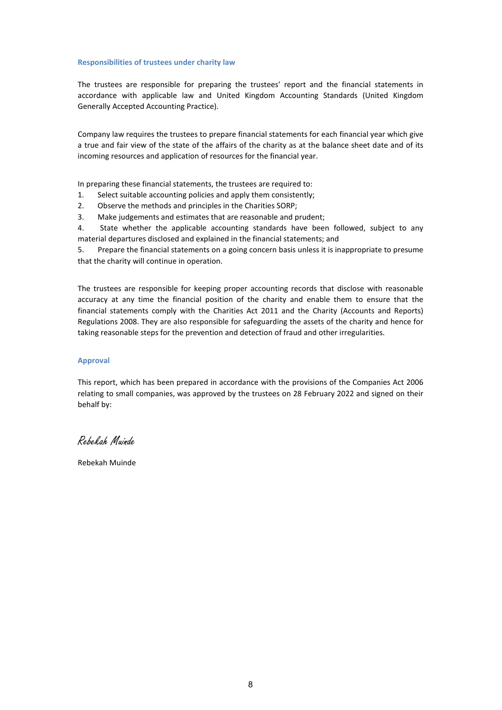### **Responsibilities of trustees under charity law**

The trustees are responsible for preparing the trustees' report and the financial statements in accordance with applicable law and United Kingdom Accounting Standards (United Kingdom Generally Accepted Accounting Practice).

Company law requires the trustees to prepare financial statements for each financial year which give a true and fair view of the state of the affairs of the charity as at the balance sheet date and of its incoming resources and application of resources for the financial year.

In preparing these financial statements, the trustees are required to:

- 1. Select suitable accounting policies and apply them consistently;
- 2. Observe the methods and principles in the Charities SORP;
- 3. Make judgements and estimates that are reasonable and prudent;

4. State whether the applicable accounting standards have been followed, subject to any material departures disclosed and explained in the financial statements; and

5. Prepare the financial statements on a going concern basis unless it is inappropriate to presume that the charity will continue in operation.

The trustees are responsible for keeping proper accounting records that disclose with reasonable accuracy at any time the financial position of the charity and enable them to ensure that the financial statements comply with the Charities Act 2011 and the Charity (Accounts and Reports) Regulations 2008. They are also responsible for safeguarding the assets of the charity and hence for taking reasonable steps for the prevention and detection of fraud and other irregularities.

# **Approval**

This report, which has been prepared in accordance with the provisions of the Companies Act 2006 relating to small companies, was approved by the trustees on 28 February 2022 and signed on their behalf by:

Rebekah Muinde

Rebekah Muinde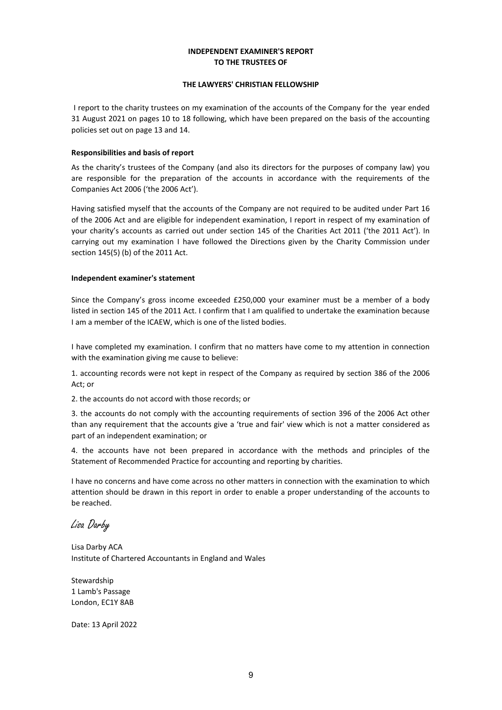# **INDEPENDENT EXAMINER'S REPORT TO THE TRUSTEES OF**

# **THE LAWYERS' CHRISTIAN FELLOWSHIP**

I report to the charity trustees on my examination of the accounts of the Company for the year ended 31 August 2021 on pages 10 to 18 following, which have been prepared on the basis of the accounting policies set out on page 13 and 14.

# **Responsibilities and basis of report**

As the charity's trustees of the Company (and also its directors for the purposes of company law) you are responsible for the preparation of the accounts in accordance with the requirements of the Companies Act 2006 ('the 2006 Act').

Having satisfied myself that the accounts of the Company are not required to be audited under Part 16 of the 2006 Act and are eligible for independent examination, I report in respect of my examination of your charity's accounts as carried out under section 145 of the Charities Act 2011 ('the 2011 Act'). In carrying out my examination I have followed the Directions given by the Charity Commission under section 145(5) (b) of the 2011 Act.

# **Independent examiner's statement**

Since the Company's gross income exceeded £250,000 your examiner must be a member of a body listed in section 145 of the 2011 Act. I confirm that I am qualified to undertake the examination because I am a member of the ICAEW, which is one of the listed bodies.

I have completed my examination. I confirm that no matters have come to my attention in connection with the examination giving me cause to believe:

1. accounting records were not kept in respect of the Company as required by section 386 of the 2006 Act; or

2. the accounts do not accord with those records; or

3. the accounts do not comply with the accounting requirements of section 396 of the 2006 Act other than any requirement that the accounts give a 'true and fair' view which is not a matter considered as part of an independent examination; or

4. the accounts have not been prepared in accordance with the methods and principles of the Statement of Recommended Practice for accounting and reporting by charities.

I have no concerns and have come across no other matters in connection with the examination to which attention should be drawn in this report in order to enable a proper understanding of the accounts to be reached.

Lisa Darby

Lisa Darby ACA Institute of Chartered Accountants in England and Wales

Stewardship 1 Lamb's Passage London, EC1Y 8AB

Date: 13 April 2022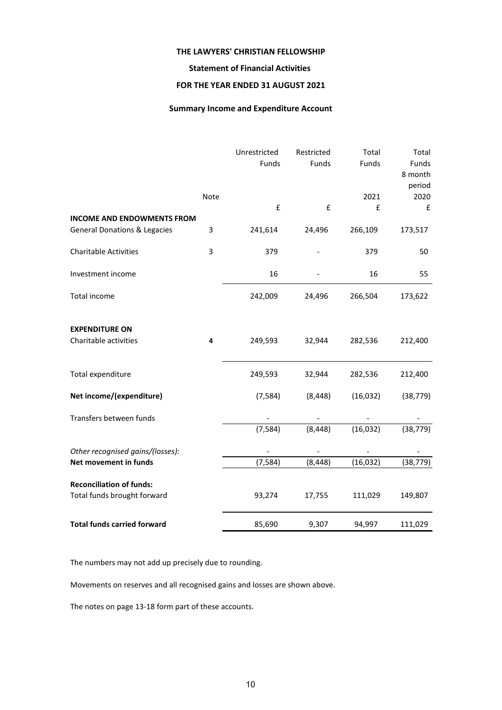# **Statement of Financial Activities**

# **FOR THE YEAR ENDED 31 AUGUST 2021**

# **Summary Income and Expenditure Account**

|                                                |      | Unrestricted<br>Funds | Restricted<br>Funds | Total<br>Funds | Total<br>Funds<br>8 month<br>period |
|------------------------------------------------|------|-----------------------|---------------------|----------------|-------------------------------------|
|                                                | Note |                       |                     | 2021           | 2020                                |
|                                                |      | $\pmb{\mathsf{f}}$    | £                   | £              | $\pmb{\mathsf{f}}$                  |
| <b>INCOME AND ENDOWMENTS FROM</b>              |      |                       |                     |                |                                     |
| <b>General Donations &amp; Legacies</b>        | 3    | 241,614               | 24,496              | 266,109        | 173,517                             |
| <b>Charitable Activities</b>                   | 3    | 379                   |                     | 379            | 50                                  |
| Investment income                              |      | 16                    |                     | 16             | 55                                  |
| Total income                                   |      | 242,009               | 24,496              | 266,504        | 173,622                             |
| <b>EXPENDITURE ON</b><br>Charitable activities | 4    | 249,593               | 32,944              | 282,536        | 212,400                             |
| Total expenditure                              |      | 249,593               | 32,944              | 282,536        | 212,400                             |
| Net income/(expenditure)                       |      | (7, 584)              | (8, 448)            | (16, 032)      | (38, 779)                           |
| Transfers between funds                        |      |                       |                     |                |                                     |
|                                                |      | (7, 584)              | (8, 448)            | (16, 032)      | (38, 779)                           |
| Other recognised gains/(losses):               |      |                       |                     |                |                                     |
| Net movement in funds                          |      | (7, 584)              | (8, 448)            | (16, 032)      | (38, 779)                           |
| <b>Reconciliation of funds:</b>                |      |                       |                     |                |                                     |
| Total funds brought forward                    |      | 93,274                | 17,755              | 111,029        | 149,807                             |
| <b>Total funds carried forward</b>             |      | 85,690                | 9,307               | 94,997         | 111,029                             |

The numbers may not add up precisely due to rounding.

Movements on reserves and all recognised gains and losses are shown above.

The notes on page 13-18 form part of these accounts.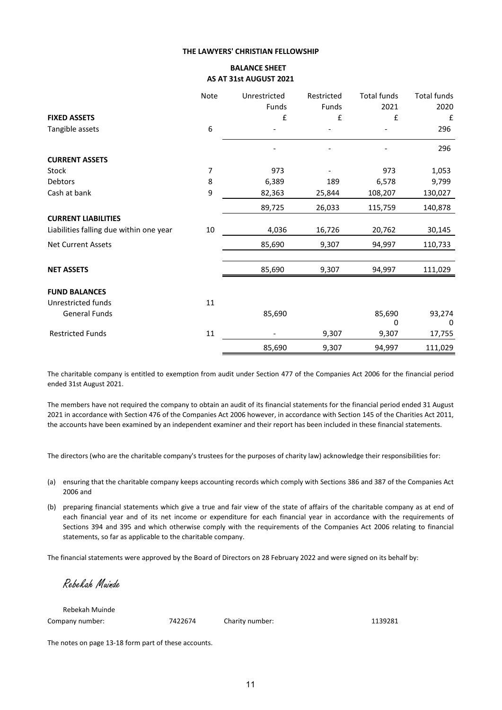# **BALANCE SHEET AS AT 31st AUGUST 2021**

|                                         | Note             | Unrestricted | Restricted | <b>Total funds</b> | Total funds |
|-----------------------------------------|------------------|--------------|------------|--------------------|-------------|
|                                         |                  | Funds        | Funds      | 2021               | 2020        |
| <b>FIXED ASSETS</b>                     |                  | £            | £          | £                  | £           |
| Tangible assets                         | $\boldsymbol{6}$ |              |            |                    | 296         |
|                                         |                  |              |            |                    | 296         |
| <b>CURRENT ASSETS</b>                   |                  |              |            |                    |             |
| Stock                                   | 7                | 973          |            | 973                | 1,053       |
| Debtors                                 | 8                | 6,389        | 189        | 6,578              | 9,799       |
| Cash at bank                            | 9                | 82,363       | 25,844     | 108,207            | 130,027     |
|                                         |                  | 89,725       | 26,033     | 115,759            | 140,878     |
| <b>CURRENT LIABILITIES</b>              |                  |              |            |                    |             |
| Liabilities falling due within one year | 10               | 4,036        | 16,726     | 20,762             | 30,145      |
| <b>Net Current Assets</b>               |                  | 85,690       | 9,307      | 94,997             | 110,733     |
| <b>NET ASSETS</b>                       |                  | 85,690       | 9,307      | 94,997             | 111,029     |
| <b>FUND BALANCES</b>                    |                  |              |            |                    |             |
| Unrestricted funds                      | 11               |              |            |                    |             |
| General Funds                           |                  | 85,690       |            | 85,690             | 93,274      |
|                                         |                  |              |            | 0                  | 0           |
| <b>Restricted Funds</b>                 | $11\,$           |              | 9,307      | 9,307              | 17,755      |
|                                         |                  | 85,690       | 9,307      | 94,997             | 111,029     |

The charitable company is entitled to exemption from audit under Section 477 of the Companies Act 2006 for the financial period ended 31st August 2021.

The members have not required the company to obtain an audit of its financial statements for the financial period ended 31 August 2021 in accordance with Section 476 of the Companies Act 2006 however, in accordance with Section 145 of the Charities Act 2011, the accounts have been examined by an independent examiner and their report has been included in these financial statements.

The directors (who are the charitable company's trustees for the purposes of charity law) acknowledge their responsibilities for:

- (a) ensuring that the charitable company keeps accounting records which comply with Sections 386 and 387 of the Companies Act 2006 and
- (b) preparing financial statements which give a true and fair view of the state of affairs of the charitable company as at end of each financial year and of its net income or expenditure for each financial year in accordance with the requirements of Sections 394 and 395 and which otherwise comply with the requirements of the Companies Act 2006 relating to financial statements, so far as applicable to the charitable company.

The financial statements were approved by the Board of Directors on 28 February 2022 and were signed on its behalf by:

Rebekah Muinde

Rebekah Muinde Company number: 7422674 Charity number: 1139281

The notes on page 13-18 form part of these accounts.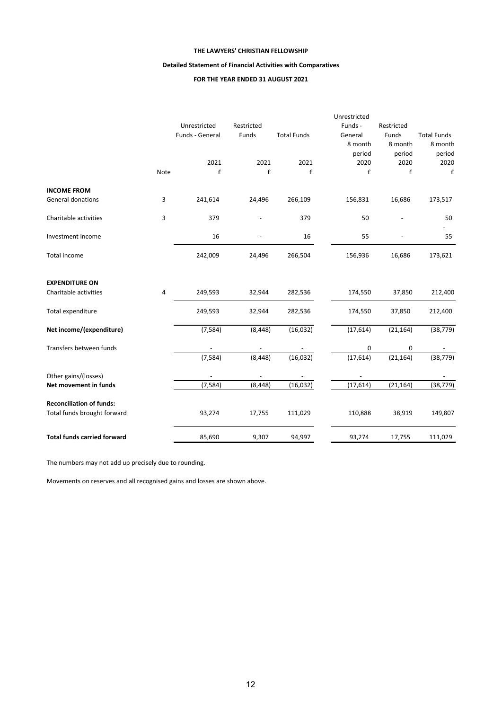# **Detailed Statement of Financial Activities with Comparatives**

# **FOR THE YEAR ENDED 31 AUGUST 2021**

|                                    |      |                                 |                     |                    | Unrestricted       |                     |                    |
|------------------------------------|------|---------------------------------|---------------------|--------------------|--------------------|---------------------|--------------------|
|                                    |      | Unrestricted<br>Funds - General | Restricted<br>Funds | <b>Total Funds</b> | Funds -<br>General | Restricted<br>Funds | <b>Total Funds</b> |
|                                    |      |                                 |                     |                    | 8 month            | 8 month             | 8 month            |
|                                    |      |                                 |                     |                    | period             | period              | period             |
|                                    |      | 2021                            | 2021                | 2021               | 2020               | 2020                | 2020               |
|                                    | Note | £                               | £                   | £                  | £                  | £                   | £                  |
| <b>INCOME FROM</b>                 |      |                                 |                     |                    |                    |                     |                    |
| General donations                  | 3    | 241,614                         | 24,496              | 266,109            | 156,831            | 16,686              | 173,517            |
| Charitable activities              | 3    | 379                             |                     | 379                | 50                 |                     | 50                 |
| Investment income                  |      | 16                              | $\overline{a}$      | 16                 | 55                 |                     | 55                 |
| Total income                       |      | 242,009                         | 24,496              | 266,504            | 156,936            | 16,686              | 173,621            |
| <b>EXPENDITURE ON</b>              |      |                                 |                     |                    |                    |                     |                    |
| Charitable activities              | 4    | 249,593                         | 32,944              | 282,536            | 174,550            | 37,850              | 212,400            |
| Total expenditure                  |      | 249,593                         | 32,944              | 282,536            | 174,550            | 37,850              | 212,400            |
| Net income/(expenditure)           |      | (7, 584)                        | (8, 448)            | (16,032)           | (17, 614)          | (21, 164)           | (38, 779)          |
| Transfers between funds            |      |                                 |                     |                    | 0                  | 0                   |                    |
|                                    |      | (7, 584)                        | (8, 448)            | (16, 032)          | (17, 614)          | (21, 164)           | (38, 779)          |
| Other gains/(losses)               |      |                                 |                     |                    |                    |                     |                    |
| Net movement in funds              |      | (7, 584)                        | (8, 448)            | (16, 032)          | (17, 614)          | (21, 164)           | (38, 779)          |
| <b>Reconciliation of funds:</b>    |      |                                 |                     |                    |                    |                     |                    |
| Total funds brought forward        |      | 93,274                          | 17,755              | 111,029            | 110,888            | 38,919              | 149,807            |
| <b>Total funds carried forward</b> |      | 85,690                          | 9,307               | 94,997             | 93,274             | 17,755              | 111,029            |

The numbers may not add up precisely due to rounding.

Movements on reserves and all recognised gains and losses are shown above.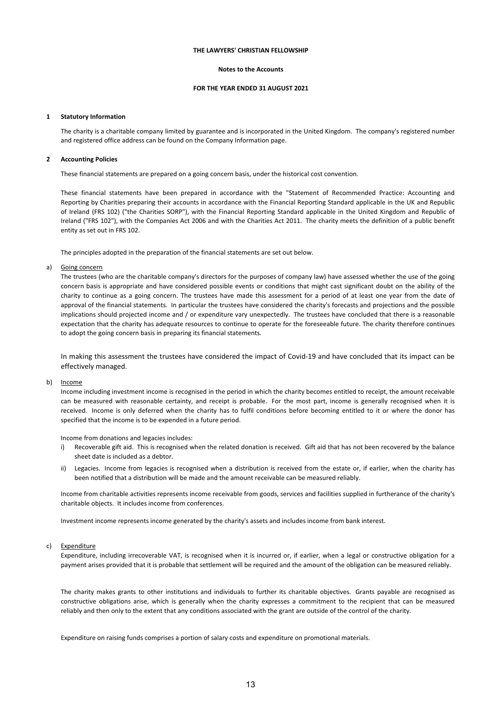#### **Notes to the Accounts**

### **FOR THE YEAR ENDED 31 AUGUST 2021**

#### **1 Statutory Information**

The charity is a charitable company limited by guarantee and is incorporated in the United Kingdom. The company's registered number and registered office address can be found on the Company Information page.

#### **2 Accounting Policies**

These financial statements are prepared on a going concern basis, under the historical cost convention.

These financial statements have been prepared in accordance with the "Statement of Recommended Practice: Accounting and Reporting by Charities preparing their accounts in accordance with the Financial Reporting Standard applicable in the UK and Republic of Ireland (FRS 102) ("the Charities SORP"), with the Financial Reporting Standard applicable in the United Kingdom and Republic of Ireland ("FRS 102"), with the Companies Act 2006 and with the Charities Act 2011. The charity meets the definition of a public benefit entity as set out in FRS 102.

The principles adopted in the preparation of the financial statements are set out below.

#### a) Going concern

The trustees (who are the charitable company's directors for the purposes of company law) have assessed whether the use of the going concern basis is appropriate and have considered possible events or conditions that might cast significant doubt on the ability of the charity to continue as a going concern. The trustees have made this assessment for a period of at least one year from the date of approval of the financial statements. In particular the trustees have considered the charity's forecasts and projections and the possible implications should projected income and / or expenditure vary unexpectedly. The trustees have concluded that there is a reasonable expectation that the charity has adequate resources to continue to operate for the foreseeable future. The charity therefore continues to adopt the going concern basis in preparing its financial statements.

In making this assessment the trustees have considered the impact of Covid-19 and have concluded that its impact can be effectively managed.

#### b) Income

Income including investment income is recognised in the period in which the charity becomes entitled to receipt, the amount receivable can be measured with reasonable certainty, and receipt is probable. For the most part, income is generally recognised when it is received. Income is only deferred when the charity has to fulfil conditions before becoming entitled to it or where the donor has specified that the income is to be expended in a future period.

Income from donations and legacies includes:

- i) Recoverable gift aid. This is recognised when the related donation is received. Gift aid that has not been recovered by the balance sheet date is included as a debtor.
- ii) Legacies. Income from legacies is recognised when a distribution is received from the estate or, if earlier, when the charity has been notified that a distribution will be made and the amount receivable can be measured reliably.

Income from charitable activities represents income receivable from goods, services and facilities supplied in furtherance of the charity's charitable objects. It includes income from conferences.

Investment income represents income generated by the charity's assets and includes income from bank interest.

#### c) Expenditure

Expenditure, including irrecoverable VAT, is recognised when it is incurred or, if earlier, when a legal or constructive obligation for a payment arises provided that it is probable that settlement will be required and the amount of the obligation can be measured reliably.

The charity makes grants to other institutions and individuals to further its charitable objectives. Grants payable are recognised as constructive obligations arise, which is generally when the charity expresses a commitment to the recipient that can be measured reliably and then only to the extent that any conditions associated with the grant are outside of the control of the charity.

Expenditure on raising funds comprises a portion of salary costs and expenditure on promotional materials.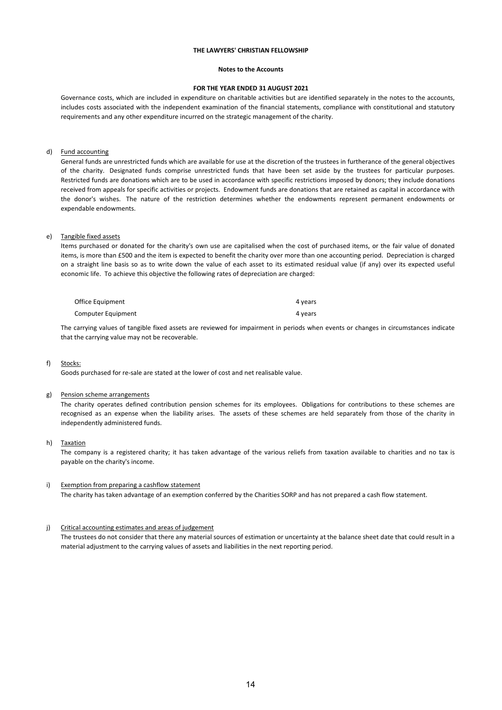#### **Notes to the Accounts**

#### **FOR THE YEAR ENDED 31 AUGUST 2021**

Governance costs, which are included in expenditure on charitable activities but are identified separately in the notes to the accounts, includes costs associated with the independent examination of the financial statements, compliance with constitutional and statutory requirements and any other expenditure incurred on the strategic management of the charity.

### d) Fund accounting

General funds are unrestricted funds which are available for use at the discretion of the trustees in furtherance of the general objectives of the charity. Designated funds comprise unrestricted funds that have been set aside by the trustees for particular purposes. Restricted funds are donations which are to be used in accordance with specific restrictions imposed by donors; they include donations received from appeals for specific activities or projects. Endowment funds are donations that are retained as capital in accordance with the donor's wishes. The nature of the restriction determines whether the endowments represent permanent endowments or expendable endowments.

#### e) Tangible fixed assets

Items purchased or donated for the charity's own use are capitalised when the cost of purchased items, or the fair value of donated items, is more than £500 and the item is expected to benefit the charity over more than one accounting period. Depreciation is charged on a straight line basis so as to write down the value of each asset to its estimated residual value (if any) over its expected useful economic life. To achieve this objective the following rates of depreciation are charged:

| Office Equipment   | 4 years |
|--------------------|---------|
| Computer Equipment | 4 years |

The carrying values of tangible fixed assets are reviewed for impairment in periods when events or changes in circumstances indicate that the carrying value may not be recoverable.

#### f) Stocks:

Goods purchased for re-sale are stated at the lower of cost and net realisable value.

#### g) Pension scheme arrangements

The charity operates defined contribution pension schemes for its employees. Obligations for contributions to these schemes are recognised as an expense when the liability arises. The assets of these schemes are held separately from those of the charity in independently administered funds.

#### h) Taxation

The company is a registered charity; it has taken advantage of the various reliefs from taxation available to charities and no tax is payable on the charity's income.

### i) Exemption from preparing a cashflow statement The charity has taken advantage of an exemption conferred by the Charities SORP and has not prepared a cash flow statement.

#### j) Critical accounting estimates and areas of judgement

The trustees do not consider that there any material sources of estimation or uncertainty at the balance sheet date that could result in a material adjustment to the carrying values of assets and liabilities in the next reporting period.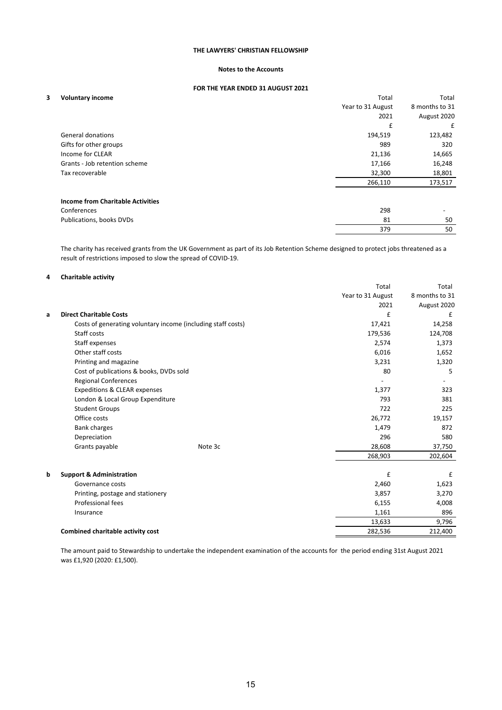# **Notes to the Accounts**

### **FOR THE YEAR ENDED 31 AUGUST 2021**

| <b>Voluntary income</b> |  |
|-------------------------|--|
|-------------------------|--|

| 3 | <b>Voluntary income</b>                  | Total             | Total                    |
|---|------------------------------------------|-------------------|--------------------------|
|   |                                          | Year to 31 August | 8 months to 31           |
|   |                                          | 2021              | August 2020              |
|   |                                          | £                 | £                        |
|   | <b>General donations</b>                 | 194,519           | 123,482                  |
|   | Gifts for other groups                   | 989               | 320                      |
|   | Income for CLEAR                         | 21,136            | 14,665                   |
|   | Grants - Job retention scheme            | 17,166            | 16,248                   |
|   | Tax recoverable                          | 32,300            | 18,801                   |
|   |                                          | 266,110           | 173,517                  |
|   | <b>Income from Charitable Activities</b> |                   |                          |
|   | Conferences                              | 298               | $\overline{\phantom{a}}$ |
|   | Publications, books DVDs                 | 81                | 50                       |
|   |                                          | 379               | 50                       |
|   |                                          |                   |                          |

The charity has received grants from the UK Government as part of its Job Retention Scheme designed to protect jobs threatened as a result of restrictions imposed to slow the spread of COVID-19.

### **4 Charitable activity**

| Year to 31 August<br>8 months to 31<br>2021<br>August 2020<br>£<br><b>Direct Charitable Costs</b><br>£<br>a<br>Costs of generating voluntary income (including staff costs)<br>14,258<br>17,421<br>Staff costs<br>179,536<br>124,708<br>Staff expenses<br>2,574<br>1,373<br>Other staff costs<br>6,016<br>1,652<br>Printing and magazine<br>3,231<br>1,320<br>Cost of publications & books, DVDs sold<br>80<br>5.<br><b>Regional Conferences</b><br>Expeditions & CLEAR expenses<br>1,377<br>323<br>London & Local Group Expenditure<br>793<br>381<br><b>Student Groups</b><br>722<br>225<br>Office costs<br>26,772<br>19,157<br><b>Bank charges</b><br>1,479<br>872<br>Depreciation<br>296<br>580<br>Grants payable<br>28,608<br>Note 3c<br>37,750<br>268,903<br>202,604<br>£<br><b>Support &amp; Administration</b><br>£<br>b<br>Governance costs<br>1,623<br>2,460<br>3,857<br>3,270<br>Printing, postage and stationery<br>Professional fees<br>6,155<br>4,008<br>1,161<br>896<br>Insurance<br>13,633<br>9,796<br><b>Combined charitable activity cost</b><br>282,536<br>212,400 |  | Total | Total |
|--------------------------------------------------------------------------------------------------------------------------------------------------------------------------------------------------------------------------------------------------------------------------------------------------------------------------------------------------------------------------------------------------------------------------------------------------------------------------------------------------------------------------------------------------------------------------------------------------------------------------------------------------------------------------------------------------------------------------------------------------------------------------------------------------------------------------------------------------------------------------------------------------------------------------------------------------------------------------------------------------------------------------------------------------------------------------------------|--|-------|-------|
|                                                                                                                                                                                                                                                                                                                                                                                                                                                                                                                                                                                                                                                                                                                                                                                                                                                                                                                                                                                                                                                                                      |  |       |       |
|                                                                                                                                                                                                                                                                                                                                                                                                                                                                                                                                                                                                                                                                                                                                                                                                                                                                                                                                                                                                                                                                                      |  |       |       |
|                                                                                                                                                                                                                                                                                                                                                                                                                                                                                                                                                                                                                                                                                                                                                                                                                                                                                                                                                                                                                                                                                      |  |       |       |
|                                                                                                                                                                                                                                                                                                                                                                                                                                                                                                                                                                                                                                                                                                                                                                                                                                                                                                                                                                                                                                                                                      |  |       |       |
|                                                                                                                                                                                                                                                                                                                                                                                                                                                                                                                                                                                                                                                                                                                                                                                                                                                                                                                                                                                                                                                                                      |  |       |       |
|                                                                                                                                                                                                                                                                                                                                                                                                                                                                                                                                                                                                                                                                                                                                                                                                                                                                                                                                                                                                                                                                                      |  |       |       |
|                                                                                                                                                                                                                                                                                                                                                                                                                                                                                                                                                                                                                                                                                                                                                                                                                                                                                                                                                                                                                                                                                      |  |       |       |
|                                                                                                                                                                                                                                                                                                                                                                                                                                                                                                                                                                                                                                                                                                                                                                                                                                                                                                                                                                                                                                                                                      |  |       |       |
|                                                                                                                                                                                                                                                                                                                                                                                                                                                                                                                                                                                                                                                                                                                                                                                                                                                                                                                                                                                                                                                                                      |  |       |       |
|                                                                                                                                                                                                                                                                                                                                                                                                                                                                                                                                                                                                                                                                                                                                                                                                                                                                                                                                                                                                                                                                                      |  |       |       |
|                                                                                                                                                                                                                                                                                                                                                                                                                                                                                                                                                                                                                                                                                                                                                                                                                                                                                                                                                                                                                                                                                      |  |       |       |
|                                                                                                                                                                                                                                                                                                                                                                                                                                                                                                                                                                                                                                                                                                                                                                                                                                                                                                                                                                                                                                                                                      |  |       |       |
|                                                                                                                                                                                                                                                                                                                                                                                                                                                                                                                                                                                                                                                                                                                                                                                                                                                                                                                                                                                                                                                                                      |  |       |       |
|                                                                                                                                                                                                                                                                                                                                                                                                                                                                                                                                                                                                                                                                                                                                                                                                                                                                                                                                                                                                                                                                                      |  |       |       |
|                                                                                                                                                                                                                                                                                                                                                                                                                                                                                                                                                                                                                                                                                                                                                                                                                                                                                                                                                                                                                                                                                      |  |       |       |
|                                                                                                                                                                                                                                                                                                                                                                                                                                                                                                                                                                                                                                                                                                                                                                                                                                                                                                                                                                                                                                                                                      |  |       |       |
|                                                                                                                                                                                                                                                                                                                                                                                                                                                                                                                                                                                                                                                                                                                                                                                                                                                                                                                                                                                                                                                                                      |  |       |       |
|                                                                                                                                                                                                                                                                                                                                                                                                                                                                                                                                                                                                                                                                                                                                                                                                                                                                                                                                                                                                                                                                                      |  |       |       |
|                                                                                                                                                                                                                                                                                                                                                                                                                                                                                                                                                                                                                                                                                                                                                                                                                                                                                                                                                                                                                                                                                      |  |       |       |
|                                                                                                                                                                                                                                                                                                                                                                                                                                                                                                                                                                                                                                                                                                                                                                                                                                                                                                                                                                                                                                                                                      |  |       |       |
|                                                                                                                                                                                                                                                                                                                                                                                                                                                                                                                                                                                                                                                                                                                                                                                                                                                                                                                                                                                                                                                                                      |  |       |       |
|                                                                                                                                                                                                                                                                                                                                                                                                                                                                                                                                                                                                                                                                                                                                                                                                                                                                                                                                                                                                                                                                                      |  |       |       |
|                                                                                                                                                                                                                                                                                                                                                                                                                                                                                                                                                                                                                                                                                                                                                                                                                                                                                                                                                                                                                                                                                      |  |       |       |
|                                                                                                                                                                                                                                                                                                                                                                                                                                                                                                                                                                                                                                                                                                                                                                                                                                                                                                                                                                                                                                                                                      |  |       |       |
|                                                                                                                                                                                                                                                                                                                                                                                                                                                                                                                                                                                                                                                                                                                                                                                                                                                                                                                                                                                                                                                                                      |  |       |       |

The amount paid to Stewardship to undertake the independent examination of the accounts for the period ending 31st August 2021 was £1,920 (2020: £1,500).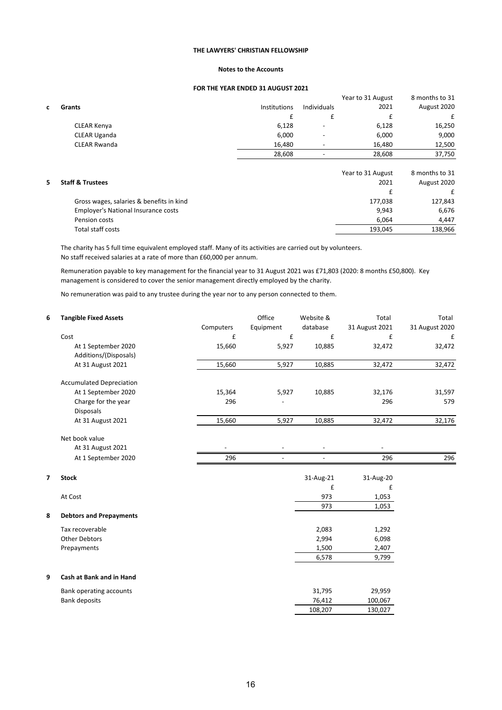# **Notes to the Accounts**

# **FOR THE YEAR ENDED 31 AUGUST 2021**

|   |                     |                     |                          | Year to 31 August | 8 months to 31 |
|---|---------------------|---------------------|--------------------------|-------------------|----------------|
| C | Grants              | <b>Institutions</b> | Individuals              | 2021              | August 2020    |
|   |                     |                     |                          |                   | £              |
|   | CLEAR Kenya         | 6,128               | -                        | 6,128             | 16,250         |
|   | <b>CLEAR Uganda</b> | 6,000               | ٠                        | 6,000             | 9,000          |
|   | <b>CLEAR Rwanda</b> | 16,480              | $\overline{\phantom{0}}$ | 16,480            | 12,500         |
|   |                     | 28.608              |                          | 28,608            | 37,750         |
|   |                     |                     |                          |                   |                |

|  | <b>Staff &amp; Trustees</b>              | Year to 31 August<br>2021 | 8 months to 31<br>August 2020 |  |
|--|------------------------------------------|---------------------------|-------------------------------|--|
|  |                                          |                           |                               |  |
|  | Gross wages, salaries & benefits in kind | 177,038                   | 127,843                       |  |
|  | Employer's National Insurance costs      | 9.943                     | 6,676                         |  |
|  | Pension costs                            | 6.064                     | 4.447                         |  |
|  | Total staff costs                        | 193.045                   | 138,966                       |  |

The charity has 5 full time equivalent employed staff. Many of its activities are carried out by volunteers. No staff received salaries at a rate of more than £60,000 per annum.

Remuneration payable to key management for the financial year to 31 August 2021 was £71,803 (2020: 8 months £50,800). Key management is considered to cover the senior management directly employed by the charity.

No remuneration was paid to any trustee during the year nor to any person connected to them.

| 6 | <b>Tangible Fixed Assets</b>    |           | Office             | Website & | Total          | Total          |
|---|---------------------------------|-----------|--------------------|-----------|----------------|----------------|
|   |                                 | Computers | Equipment          | database  | 31 August 2021 | 31 August 2020 |
|   | Cost                            | £         | $\pmb{\mathsf{f}}$ | £         | £              | £              |
|   | At 1 September 2020             | 15,660    | 5,927              | 10,885    | 32,472         | 32,472         |
|   | Additions/(Disposals)           |           |                    |           |                |                |
|   | At 31 August 2021               | 15,660    | 5,927              | 10,885    | 32,472         | 32,472         |
|   | <b>Accumulated Depreciation</b> |           |                    |           |                |                |
|   | At 1 September 2020             | 15,364    | 5,927              | 10,885    | 32,176         | 31,597         |
|   | Charge for the year             | 296       |                    |           | 296            | 579            |
|   | Disposals                       |           |                    |           |                |                |
|   | At 31 August 2021               | 15,660    | 5,927              | 10,885    | 32,472         | 32,176         |
|   | Net book value                  |           |                    |           |                |                |
|   | At 31 August 2021               |           |                    |           |                |                |
|   | At 1 September 2020             | 296       |                    |           | 296            | 296            |
| 7 | <b>Stock</b>                    |           |                    | 31-Aug-21 | 31-Aug-20      |                |
|   |                                 |           |                    | £         | £              |                |
|   | At Cost                         |           |                    | 973       | 1,053          |                |
|   |                                 |           |                    | 973       | 1,053          |                |
| 8 | <b>Debtors and Prepayments</b>  |           |                    |           |                |                |
|   | Tax recoverable                 |           |                    | 2,083     | 1,292          |                |
|   | <b>Other Debtors</b>            |           |                    | 2,994     | 6,098          |                |
|   | Prepayments                     |           |                    | 1,500     | 2,407          |                |
|   |                                 |           |                    | 6,578     | 9,799          |                |
| 9 | Cash at Bank and in Hand        |           |                    |           |                |                |
|   | Bank operating accounts         |           |                    | 31,795    | 29,959         |                |
|   | <b>Bank deposits</b>            |           |                    | 76,412    | 100,067        |                |
|   |                                 |           |                    | 108,207   | 130,027        |                |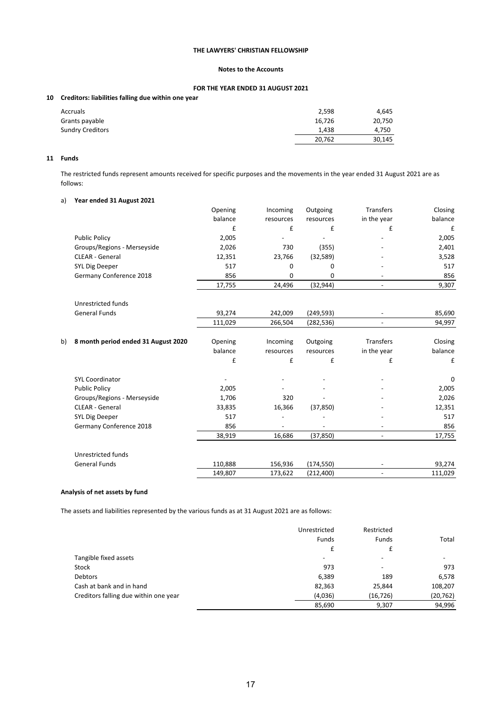# **Notes to the Accounts**

# **FOR THE YEAR ENDED 31 AUGUST 2021**

# **10 Creditors: liabilities falling due within one year**

| Accruals                | 2,598  | 4.645  |
|-------------------------|--------|--------|
| Grants payable          | 16,726 | 20,750 |
| <b>Sundry Creditors</b> | 1,438  | 4,750  |
|                         | 20,762 | 30,145 |

### **11 Funds**

The restricted funds represent amounts received for specific purposes and the movements in the year ended 31 August 2021 are as follows:

# a) **Year ended 31 August 2021**

|    |                                     | Opening | Incoming  | Outgoing   | Transfers                | Closing |
|----|-------------------------------------|---------|-----------|------------|--------------------------|---------|
|    |                                     | balance | resources | resources  | in the year              | balance |
|    |                                     | £       | £         | £          | £                        | £       |
|    | <b>Public Policy</b>                | 2,005   |           |            |                          | 2,005   |
|    | Groups/Regions - Merseyside         | 2,026   | 730       | (355)      |                          | 2,401   |
|    | <b>CLEAR - General</b>              | 12,351  | 23,766    | (32, 589)  |                          | 3,528   |
|    | SYL Dig Deeper                      | 517     | 0         | $\Omega$   |                          | 517     |
|    | Germany Conference 2018             | 856     | 0         | 0          |                          | 856     |
|    |                                     | 17,755  | 24,496    | (32, 944)  |                          | 9,307   |
|    | Unrestricted funds                  |         |           |            |                          |         |
|    | <b>General Funds</b>                | 93,274  | 242,009   | (249, 593) |                          | 85,690  |
|    |                                     | 111,029 | 266,504   | (282, 536) | $\overline{\phantom{a}}$ | 94,997  |
| b) | 8 month period ended 31 August 2020 | Opening | Incoming  | Outgoing   | Transfers                | Closing |
|    |                                     | balance | resources | resources  | in the year              | balance |
|    |                                     | £       | £         | £          | £                        | £       |
|    | <b>SYL Coordinator</b>              |         |           |            |                          | 0       |
|    | <b>Public Policy</b>                | 2,005   |           |            |                          | 2,005   |
|    | Groups/Regions - Merseyside         | 1,706   | 320       |            |                          | 2,026   |
|    | <b>CLEAR - General</b>              | 33,835  | 16,366    | (37, 850)  |                          | 12,351  |
|    | SYL Dig Deeper                      | 517     |           |            |                          | 517     |
|    | Germany Conference 2018             | 856     |           |            |                          | 856     |
|    |                                     | 38,919  | 16,686    | (37, 850)  | $\overline{\phantom{a}}$ | 17,755  |
|    | Unrestricted funds                  |         |           |            |                          |         |
|    | <b>General Funds</b>                | 110,888 | 156,936   | (174, 550) |                          | 93,274  |
|    |                                     | 149,807 | 173,622   | (212, 400) |                          | 111,029 |

### **Analysis of net assets by fund**

The assets and liabilities represented by the various funds as at 31 August 2021 are as follows:

|                                       | Unrestricted<br>Funds | Restricted<br>Funds      | Total     |
|---------------------------------------|-----------------------|--------------------------|-----------|
|                                       | £                     | £                        |           |
| Tangible fixed assets                 |                       | -                        | -         |
| Stock                                 | 973                   | $\overline{\phantom{a}}$ | 973       |
| <b>Debtors</b>                        | 6,389                 | 189                      | 6,578     |
| Cash at bank and in hand              | 82,363                | 25,844                   | 108,207   |
| Creditors falling due within one year | (4,036)               | (16, 726)                | (20, 762) |
|                                       | 85,690                | 9,307                    | 94,996    |